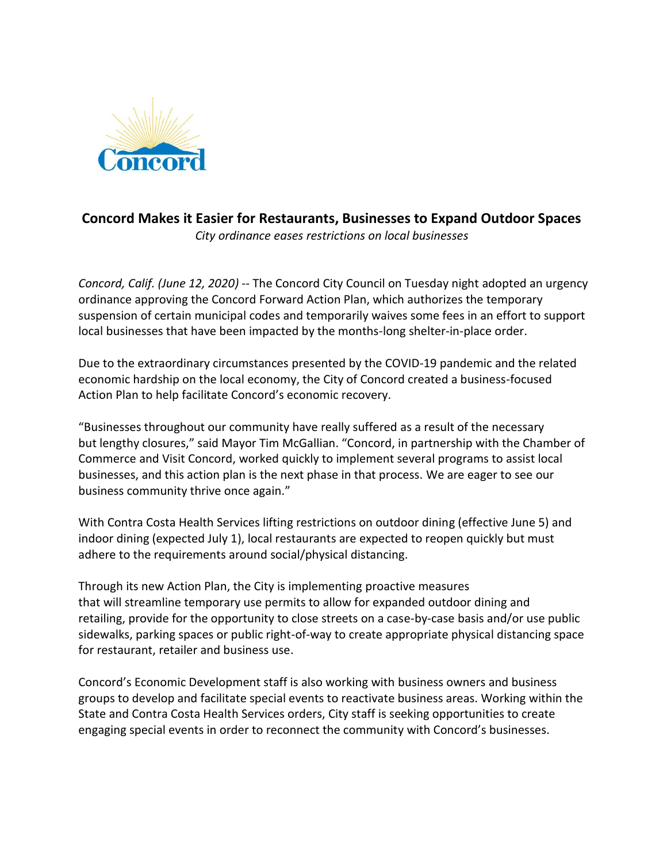

## **Concord Makes it Easier for Restaurants, Businesses to Expand Outdoor Spaces** *City ordinance eases restrictions on local businesses*

*Concord, Calif. (June 12, 2020)* -- The Concord City Council on Tuesday night adopted an urgency ordinance approving the Concord Forward Action Plan, which authorizes the temporary suspension of certain municipal codes and temporarily waives some fees in an effort to support local businesses that have been impacted by the months-long shelter-in-place order.

Due to the extraordinary circumstances presented by the COVID-19 pandemic and the related economic hardship on the local economy, the City of Concord created a business-focused Action Plan to help facilitate Concord's economic recovery.

"Businesses throughout our community have really suffered as a result of the necessary but lengthy closures," said Mayor Tim McGallian. "Concord, in partnership with the Chamber of Commerce and Visit Concord, worked quickly to implement several programs to assist local businesses, and this action plan is the next phase in that process. We are eager to see our business community thrive once again."

With Contra Costa Health Services lifting restrictions on outdoor dining (effective June 5) and indoor dining (expected July 1), local restaurants are expected to reopen quickly but must adhere to the requirements around social/physical distancing.

Through its new Action Plan, the City is implementing proactive measures that will streamline temporary use permits to allow for expanded outdoor dining and retailing, provide for the opportunity to close streets on a case-by-case basis and/or use public sidewalks, parking spaces or public right-of-way to create appropriate physical distancing space for restaurant, retailer and business use.

Concord's Economic Development staff is also working with business owners and business groups to develop and facilitate special events to reactivate business areas. Working within the State and Contra Costa Health Services orders, City staff is seeking opportunities to create engaging special events in order to reconnect the community with Concord's businesses.